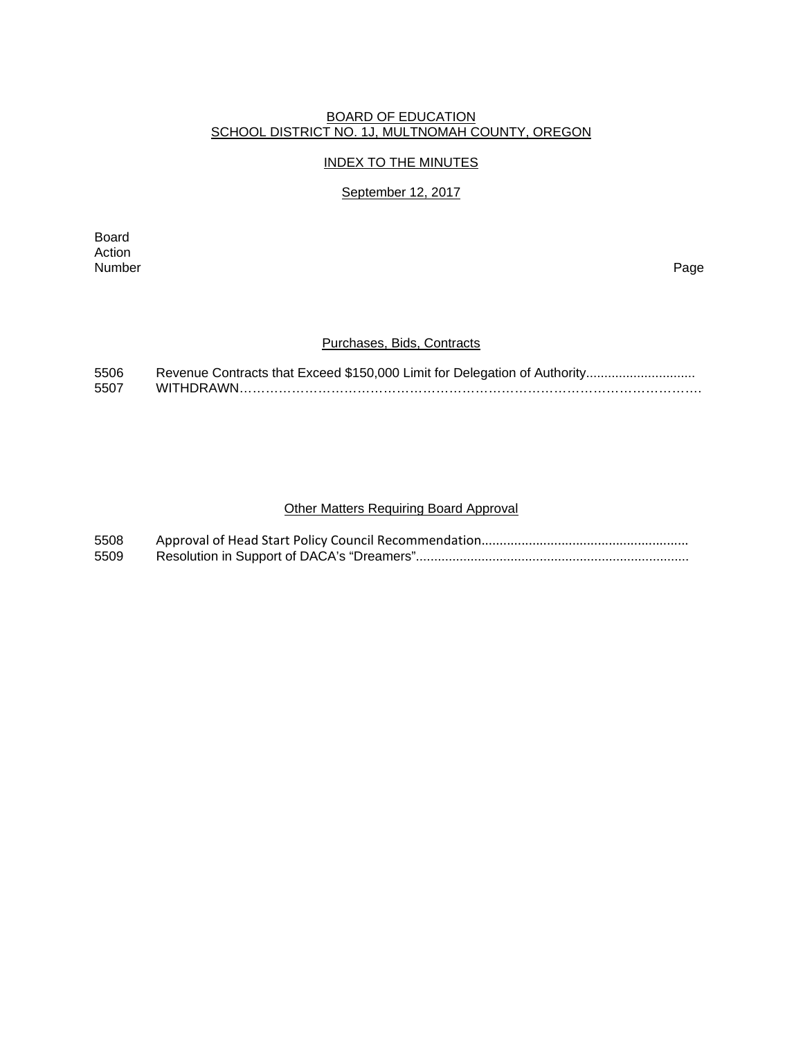#### BOARD OF EDUCATION SCHOOL DISTRICT NO. 1J, MULTNOMAH COUNTY, OREGON

## INDEX TO THE MINUTES

## September 12, 2017

Board Action<br>Number Number Page

## Purchases, Bids, Contracts

| 5506 | Revenue Contracts that Exceed \$150,000 Limit for Delegation of Authority |
|------|---------------------------------------------------------------------------|
| 5507 |                                                                           |

# Other Matters Requiring Board Approval

| 5508 |  |
|------|--|
| 5509 |  |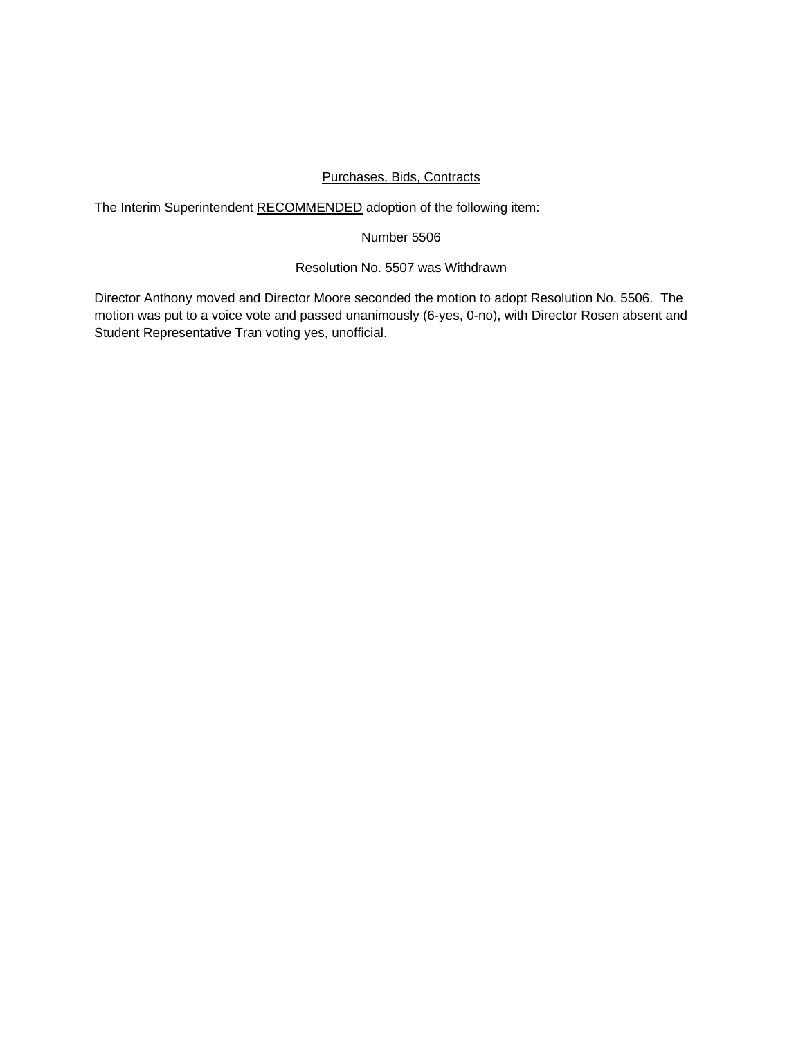## Purchases, Bids, Contracts

The Interim Superintendent RECOMMENDED adoption of the following item:

## Number 5506

## Resolution No. 5507 was Withdrawn

Director Anthony moved and Director Moore seconded the motion to adopt Resolution No. 5506. The motion was put to a voice vote and passed unanimously (6-yes, 0-no), with Director Rosen absent and Student Representative Tran voting yes, unofficial.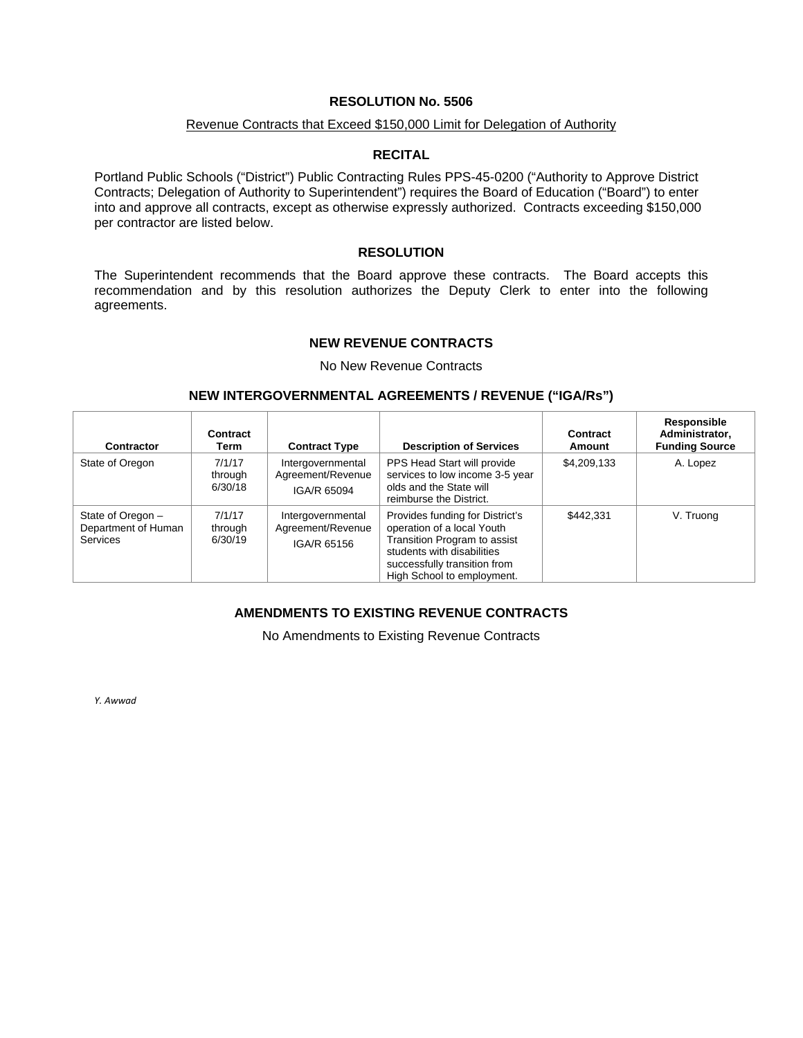## **RESOLUTION No. 5506**

## Revenue Contracts that Exceed \$150,000 Limit for Delegation of Authority

### **RECITAL**

Portland Public Schools ("District") Public Contracting Rules PPS-45-0200 ("Authority to Approve District Contracts; Delegation of Authority to Superintendent") requires the Board of Education ("Board") to enter into and approve all contracts, except as otherwise expressly authorized. Contracts exceeding \$150,000 per contractor are listed below.

## **RESOLUTION**

The Superintendent recommends that the Board approve these contracts. The Board accepts this recommendation and by this resolution authorizes the Deputy Clerk to enter into the following agreements.

### **NEW REVENUE CONTRACTS**

No New Revenue Contracts

### **NEW INTERGOVERNMENTAL AGREEMENTS / REVENUE ("IGA/Rs")**

| <b>Contractor</b>                                           | Contract<br>Term             | <b>Contract Type</b>                                  | <b>Description of Services</b>                                                                                                                                                            | Contract<br>Amount | Responsible<br>Administrator,<br><b>Funding Source</b> |
|-------------------------------------------------------------|------------------------------|-------------------------------------------------------|-------------------------------------------------------------------------------------------------------------------------------------------------------------------------------------------|--------------------|--------------------------------------------------------|
| State of Oregon                                             | 7/1/17<br>through<br>6/30/18 | Intergovernmental<br>Agreement/Revenue<br>IGA/R 65094 | PPS Head Start will provide<br>services to low income 3-5 year<br>olds and the State will<br>reimburse the District.                                                                      | \$4,209,133        | A. Lopez                                               |
| State of Oregon -<br>Department of Human<br><b>Services</b> | 7/1/17<br>through<br>6/30/19 | Intergovernmental<br>Agreement/Revenue<br>IGA/R 65156 | Provides funding for District's<br>operation of a local Youth<br>Transition Program to assist<br>students with disabilities<br>successfully transition from<br>High School to employment. | \$442.331          | V. Truong                                              |

## **AMENDMENTS TO EXISTING REVENUE CONTRACTS**

No Amendments to Existing Revenue Contracts

*Y. Awwad*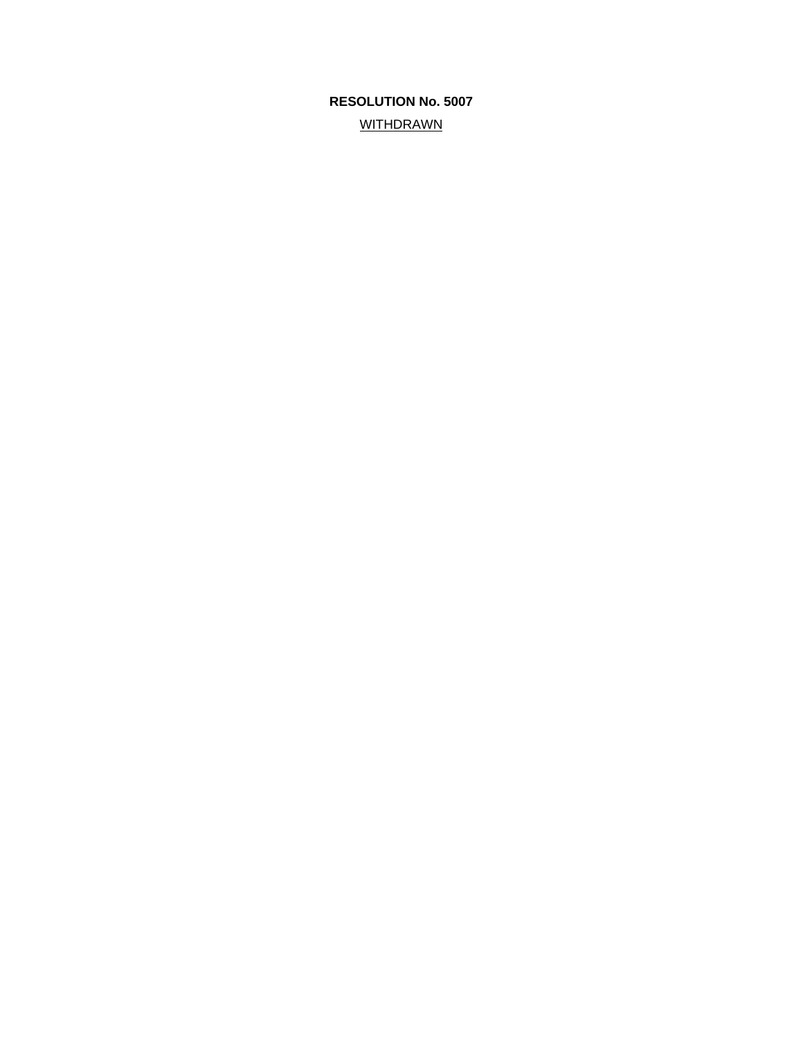# **RESOLUTION No. 5007 WITHDRAWN**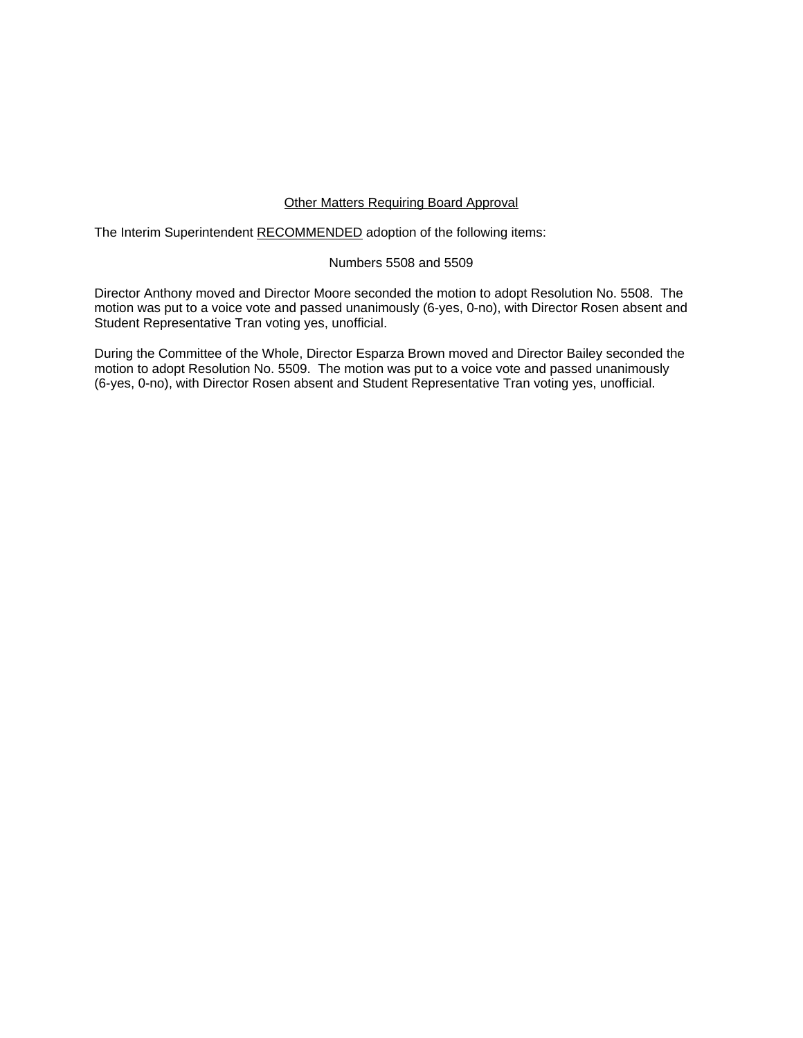## Other Matters Requiring Board Approval

The Interim Superintendent RECOMMENDED adoption of the following items:

## Numbers 5508 and 5509

Director Anthony moved and Director Moore seconded the motion to adopt Resolution No. 5508. The motion was put to a voice vote and passed unanimously (6-yes, 0-no), with Director Rosen absent and Student Representative Tran voting yes, unofficial.

During the Committee of the Whole, Director Esparza Brown moved and Director Bailey seconded the motion to adopt Resolution No. 5509. The motion was put to a voice vote and passed unanimously (6-yes, 0-no), with Director Rosen absent and Student Representative Tran voting yes, unofficial.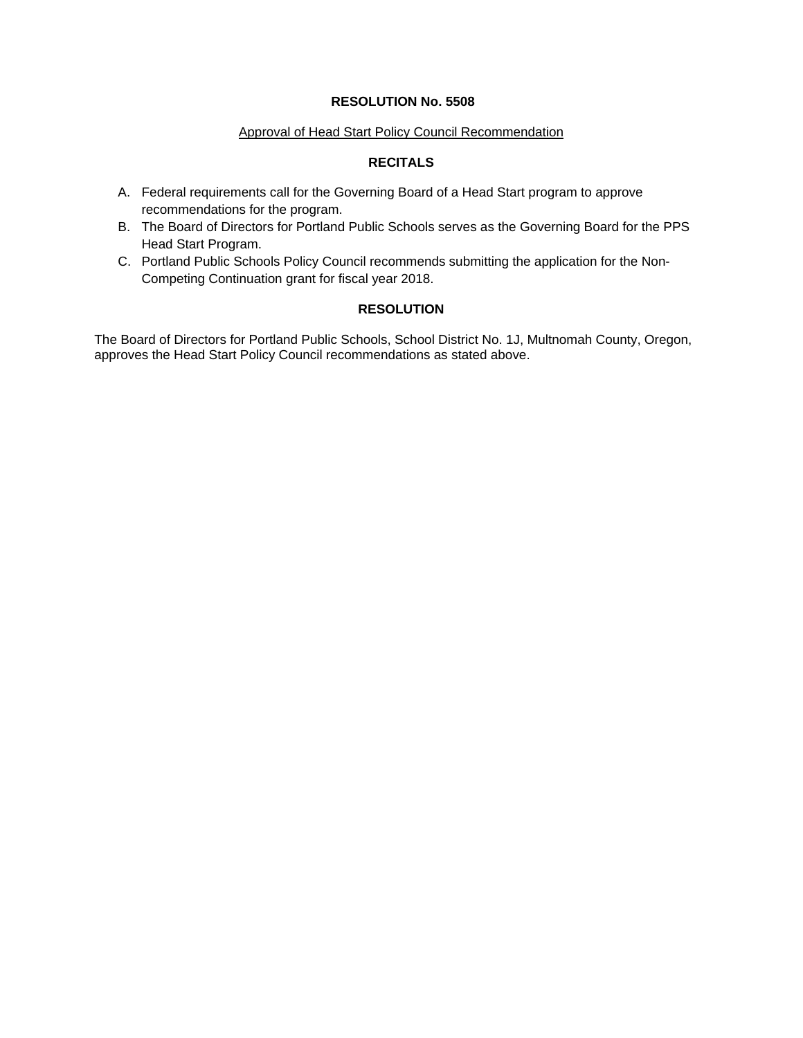## **RESOLUTION No. 5508**

## Approval of Head Start Policy Council Recommendation

# **RECITALS**

- A. Federal requirements call for the Governing Board of a Head Start program to approve recommendations for the program.
- B. The Board of Directors for Portland Public Schools serves as the Governing Board for the PPS Head Start Program.
- C. Portland Public Schools Policy Council recommends submitting the application for the Non-Competing Continuation grant for fiscal year 2018.

## **RESOLUTION**

The Board of Directors for Portland Public Schools, School District No. 1J, Multnomah County, Oregon, approves the Head Start Policy Council recommendations as stated above.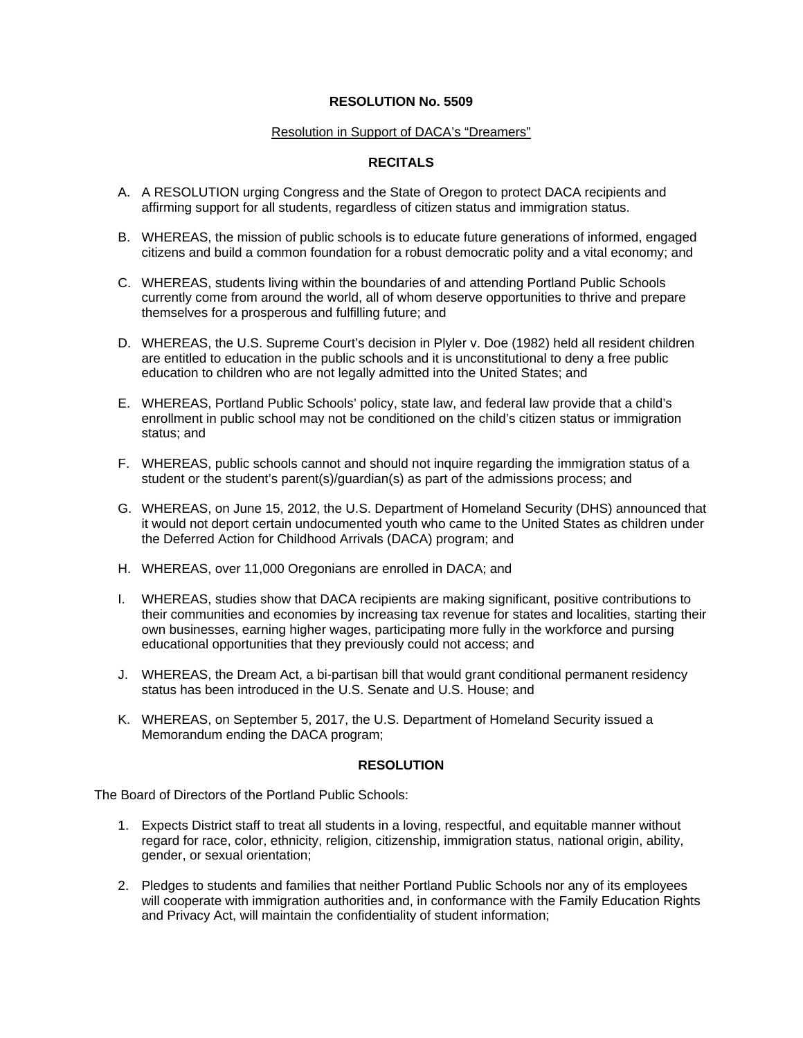## **RESOLUTION No. 5509**

### Resolution in Support of DACA's "Dreamers"

## **RECITALS**

- A. A RESOLUTION urging Congress and the State of Oregon to protect DACA recipients and affirming support for all students, regardless of citizen status and immigration status.
- B. WHEREAS, the mission of public schools is to educate future generations of informed, engaged citizens and build a common foundation for a robust democratic polity and a vital economy; and
- C. WHEREAS, students living within the boundaries of and attending Portland Public Schools currently come from around the world, all of whom deserve opportunities to thrive and prepare themselves for a prosperous and fulfilling future; and
- D. WHEREAS, the U.S. Supreme Court's decision in Plyler v. Doe (1982) held all resident children are entitled to education in the public schools and it is unconstitutional to deny a free public education to children who are not legally admitted into the United States; and
- E. WHEREAS, Portland Public Schools' policy, state law, and federal law provide that a child's enrollment in public school may not be conditioned on the child's citizen status or immigration status; and
- F. WHEREAS, public schools cannot and should not inquire regarding the immigration status of a student or the student's parent(s)/guardian(s) as part of the admissions process; and
- G. WHEREAS, on June 15, 2012, the U.S. Department of Homeland Security (DHS) announced that it would not deport certain undocumented youth who came to the United States as children under the Deferred Action for Childhood Arrivals (DACA) program; and
- H. WHEREAS, over 11,000 Oregonians are enrolled in DACA; and
- I. WHEREAS, studies show that DACA recipients are making significant, positive contributions to their communities and economies by increasing tax revenue for states and localities, starting their own businesses, earning higher wages, participating more fully in the workforce and pursing educational opportunities that they previously could not access; and
- J. WHEREAS, the Dream Act, a bi-partisan bill that would grant conditional permanent residency status has been introduced in the U.S. Senate and U.S. House; and
- K. WHEREAS, on September 5, 2017, the U.S. Department of Homeland Security issued a Memorandum ending the DACA program;

### **RESOLUTION**

The Board of Directors of the Portland Public Schools:

- 1. Expects District staff to treat all students in a loving, respectful, and equitable manner without regard for race, color, ethnicity, religion, citizenship, immigration status, national origin, ability, gender, or sexual orientation;
- 2. Pledges to students and families that neither Portland Public Schools nor any of its employees will cooperate with immigration authorities and, in conformance with the Family Education Rights and Privacy Act, will maintain the confidentiality of student information;